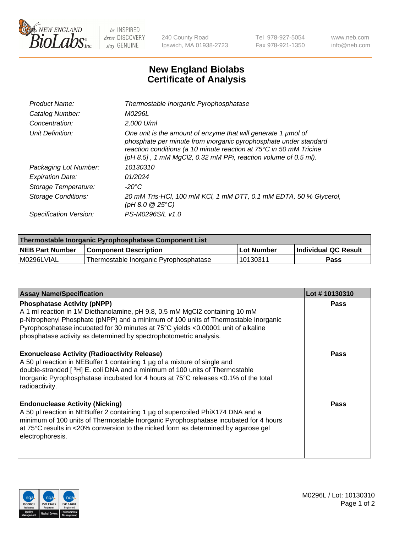

 $be$  INSPIRED drive DISCOVERY stay GENUINE

240 County Road Ipswich, MA 01938-2723 Tel 978-927-5054 Fax 978-921-1350 www.neb.com info@neb.com

## **New England Biolabs Certificate of Analysis**

| Product Name:              | Thermostable Inorganic Pyrophosphatase                                                                                                                                                                                                                                    |
|----------------------------|---------------------------------------------------------------------------------------------------------------------------------------------------------------------------------------------------------------------------------------------------------------------------|
| Catalog Number:            | <i>M0296L</i>                                                                                                                                                                                                                                                             |
| Concentration:             | 2,000 U/ml                                                                                                                                                                                                                                                                |
| Unit Definition:           | One unit is the amount of enzyme that will generate 1 µmol of<br>phosphate per minute from inorganic pyrophosphate under standard<br>reaction conditions (a 10 minute reaction at 75°C in 50 mM Tricine<br>[pH 8.5], 1 mM MgCl2, 0.32 mM PPi, reaction volume of 0.5 ml). |
| Packaging Lot Number:      | 10130310                                                                                                                                                                                                                                                                  |
| <b>Expiration Date:</b>    | 01/2024                                                                                                                                                                                                                                                                   |
| Storage Temperature:       | $-20^{\circ}$ C                                                                                                                                                                                                                                                           |
| <b>Storage Conditions:</b> | 20 mM Tris-HCl, 100 mM KCl, 1 mM DTT, 0.1 mM EDTA, 50 % Glycerol,<br>$(pH 8.0 \ @ 25^{\circ}C)$                                                                                                                                                                           |
| Specification Version:     | PS-M0296S/L v1.0                                                                                                                                                                                                                                                          |

| Thermostable Inorganic Pyrophosphatase Component List |                                        |            |                             |  |
|-------------------------------------------------------|----------------------------------------|------------|-----------------------------|--|
| <b>NEB Part Number</b>                                | <b>Component Description</b>           | Lot Number | <b>Individual QC Result</b> |  |
| M0296LVIAL                                            | Thermostable Inorganic Pyrophosphatase | 10130311   | Pass                        |  |

| <b>Assay Name/Specification</b>                                                                                                                                                                                                                                                                                                                                     | Lot #10130310 |
|---------------------------------------------------------------------------------------------------------------------------------------------------------------------------------------------------------------------------------------------------------------------------------------------------------------------------------------------------------------------|---------------|
| <b>Phosphatase Activity (pNPP)</b><br>A 1 ml reaction in 1M Diethanolamine, pH 9.8, 0.5 mM MgCl2 containing 10 mM<br>p-Nitrophenyl Phosphate (pNPP) and a minimum of 100 units of Thermostable Inorganic<br>Pyrophosphatase incubated for 30 minutes at 75°C yields <0.00001 unit of alkaline<br>phosphatase activity as determined by spectrophotometric analysis. | <b>Pass</b>   |
| <b>Exonuclease Activity (Radioactivity Release)</b><br>A 50 µl reaction in NEBuffer 1 containing 1 µg of a mixture of single and<br>double-stranded [ <sup>3</sup> H] E. coli DNA and a minimum of 100 units of Thermostable<br>Inorganic Pyrophosphatase incubated for 4 hours at 75°C releases <0.1% of the total<br>radioactivity.                               | <b>Pass</b>   |
| <b>Endonuclease Activity (Nicking)</b><br>A 50 µl reaction in NEBuffer 2 containing 1 µg of supercoiled PhiX174 DNA and a<br>minimum of 100 units of Thermostable Inorganic Pyrophosphatase incubated for 4 hours<br>at 75°C results in <20% conversion to the nicked form as determined by agarose gel<br>electrophoresis.                                         | <b>Pass</b>   |